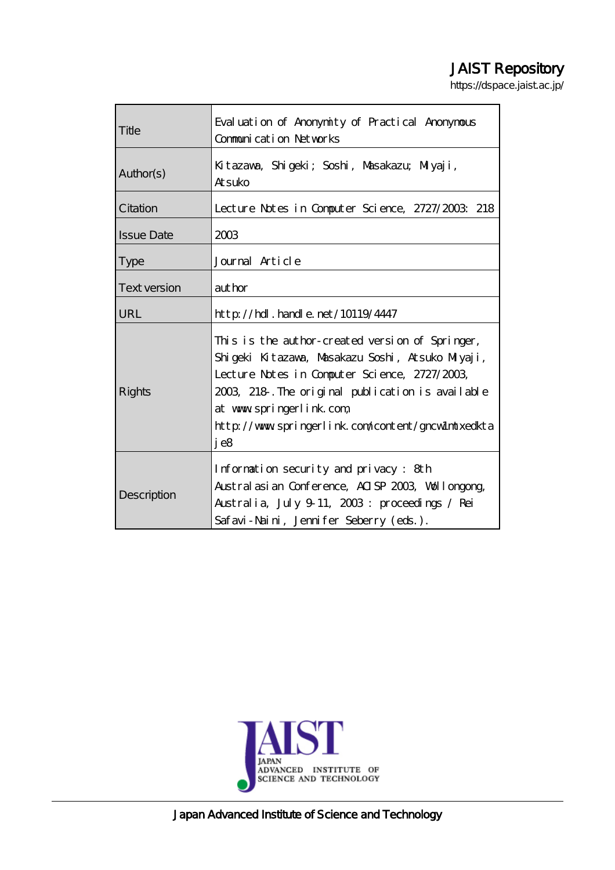# JAIST Repository

https://dspace.jaist.ac.jp/

| Title               | Evaluation of Anonymity of Practical Anonymous<br>Communication Networks                                                                                                                                                                                                                         |  |  |  |  |  |
|---------------------|--------------------------------------------------------------------------------------------------------------------------------------------------------------------------------------------------------------------------------------------------------------------------------------------------|--|--|--|--|--|
| Author(s)           | Kitazava, Shigeki; Soshi, Masakazu; Miyaji,<br><b>Atsuko</b>                                                                                                                                                                                                                                     |  |  |  |  |  |
| Citation            | Lecture Notes in Computer Science, 2727/2003 218                                                                                                                                                                                                                                                 |  |  |  |  |  |
| <b>Issue Date</b>   | 2003                                                                                                                                                                                                                                                                                             |  |  |  |  |  |
| <b>Type</b>         | Journal Article                                                                                                                                                                                                                                                                                  |  |  |  |  |  |
| <b>Text version</b> | author                                                                                                                                                                                                                                                                                           |  |  |  |  |  |
| URL                 | $http$ // $rdl$ . handle. net/10119/4447                                                                                                                                                                                                                                                         |  |  |  |  |  |
| Rights              | This is the author-created version of Springer,<br>Shigeki Kitazawa, Masakazu Soshi, Atsuko Miyaji,<br>Lecture Notes in Computer Science, 2727/2003,<br>2003, 218. The original publication is available<br>at www.springerlink.com<br>http://www.springerlink.com/content/gncw1ntxedkta<br>j e8 |  |  |  |  |  |
| Description         | Information security and privacy: 8th<br>Australasian Conference, AISP 2003, Wollongong,<br>Australia, July 9-11, 2003: proceedings / Rei<br>Safavi-Naini, Jennifer Seberry (eds.).                                                                                                              |  |  |  |  |  |



Japan Advanced Institute of Science and Technology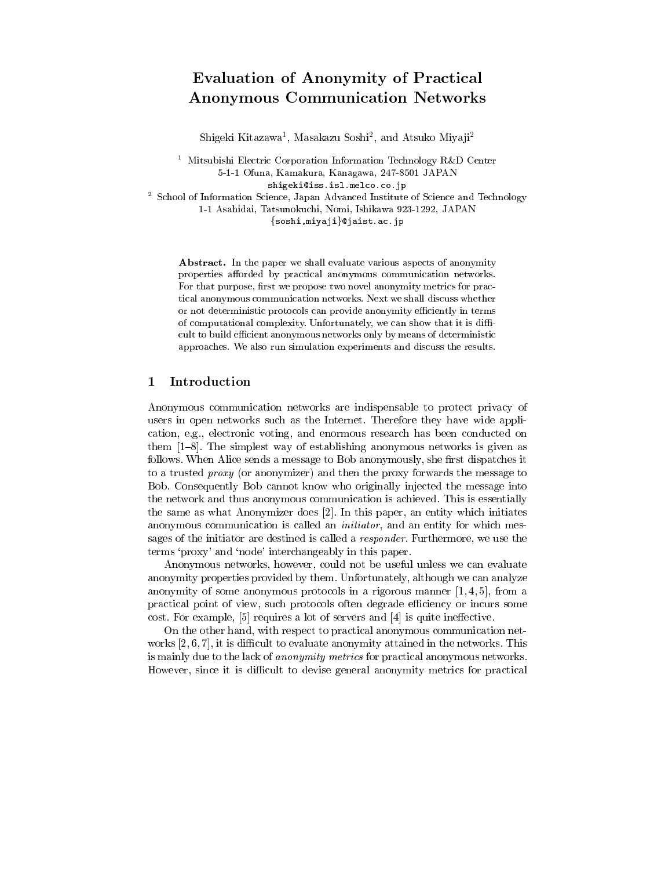# **Evaluation of Anonymity of Practical Anonymous Communication Networks**

Shigeki Kitazawa<sup>1</sup>, Masakazu Soshi<sup>2</sup>, and Atsuko Miyaji<sup>2</sup>

<sup>1</sup> Mitsubishi Electric Corporation Information Technology R&D Center 5-1-1 Ofuna, Kamakura, Kanagawa, 247-8501 JAPAN shigeki@iss.isl.melco.co.jp

<sup>2</sup> School of Information Science, Japan Advanced Institute of Science and Technology 1-1 Asahidai, Tatsunokuchi, Nomi, Ishikawa 923-1292, JAPAN {soshi, miyaji}@jaist.ac.jp

**Abstract.** In the paper we shall evaluate various aspects of anonymity properties afforded by practical anonymous communication networks. For that purpose, first we propose two novel anonymity metrics for practical anonymous communication networks. Next we shall discuss whether or not deterministic protocols can provide anonymity efficiently in terms of computational complexity. Unfortunately, we can show that it is difficult to build efficient anonymous networks only by means of deterministic approaches. We also run simulation experiments and discuss the results.

#### Introduction 1

Anonymous communication networks are indispensable to protect privacy of users in open networks such as the Internet. Therefore they have wide application, e.g., electronic voting, and enormous research has been conducted on them  $[1-8]$ . The simplest way of establishing anonymous networks is given as follows. When Alice sends a message to Bob anonymously, she first dispatches it to a trusted *proxy* (or anonymizer) and then the proxy forwards the message to Bob. Consequently Bob cannot know who originally injected the message into the network and thus anonymous communication is achieved. This is essentially the same as what Anonymizer does [2]. In this paper, an entity which initiates anonymous communication is called an *initiator*, and an entity for which messages of the initiator are destined is called a *responder*. Furthermore, we use the terms 'proxy' and 'node' interchangeably in this paper.

Anonymous networks, however, could not be useful unless we can evaluate anonymity properties provided by them. Unfortunately, although we can analyze anonymity of some anonymous protocols in a rigorous manner  $[1, 4, 5]$ , from a practical point of view, such protocols often degrade efficiency or incurs some cost. For example,  $[5]$  requires a lot of servers and  $[4]$  is quite ineffective.

On the other hand, with respect to practical anonymous communication networks  $[2, 6, 7]$ , it is difficult to evaluate anonymity attained in the networks. This is mainly due to the lack of *anonymity metrics* for practical anonymous networks. However, since it is difficult to devise general anonymity metrics for practical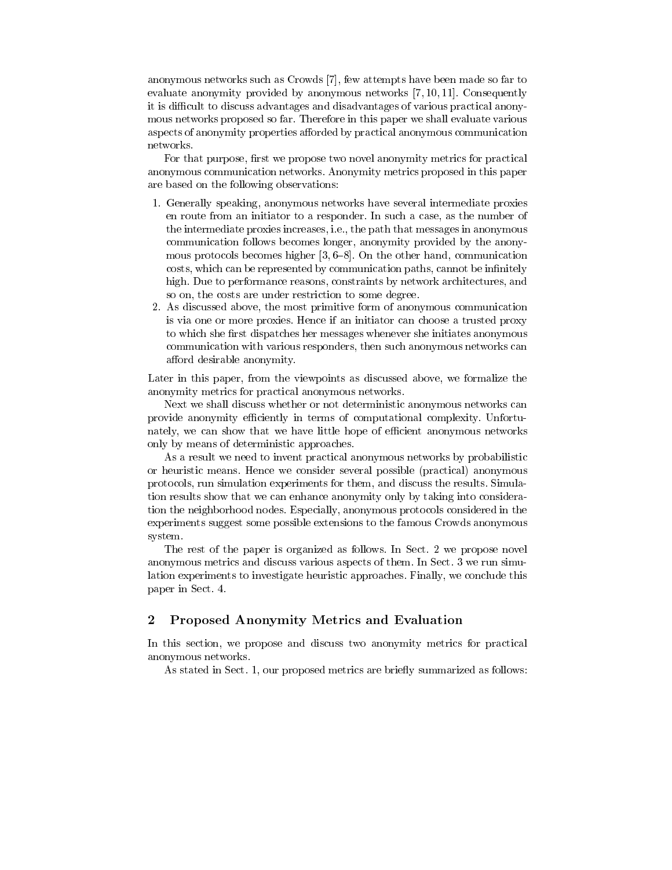anonymous networks such as Crowds [7], few attempts have been made so far to evaluate anonymity provided by anonymous networks  $[7, 10, 11]$ . Consequently it is difficult to discuss advantages and disadvantages of various practical anonymous networks proposed so far. Therefore in this paper we shall evaluate various aspects of anonymity properties afforded by practical anonymous communication networks.

For that purpose, first we propose two novel anonymity metrics for practical anonymous communication networks. Anonymity metrics proposed in this paper are based on the following observations:

- 1. Generally speaking, anonymous networks have several intermediate proxies en route from an initiator to a responder. In such a case, as the number of the intermediate proxies increases, i.e., the path that messages in anonymous communication follows becomes longer, anonymity provided by the anonymous protocols becomes higher  $[3, 6-8]$ . On the other hand, communication costs, which can be represented by communication paths, cannot be infinitely high. Due to performance reasons, constraints by network architectures, and so on, the costs are under restriction to some degree.
- 2. As discussed above, the most primitive form of anonymous communication is via one or more proxies. Hence if an initiator can choose a trusted proxy to which she first dispatches her messages whenever she initiates anonymous communication with various responders, then such anonymous networks can afford desirable anonymity.

Later in this paper, from the viewpoints as discussed above, we formalize the anonymity metrics for practical anonymous networks.

Next we shall discuss whether or not deterministic anonymous networks can provide anonymity efficiently in terms of computational complexity. Unfortunately, we can show that we have little hope of efficient anonymous networks only by means of deterministic approaches.

As a result we need to invent practical anonymous networks by probabilistic or heuristic means. Hence we consider several possible (practical) anonymous protocols, run simulation experiments for them, and discuss the results. Simulation results show that we can enhance anonymity only by taking into consideration the neighborhood nodes. Especially, anonymous protocols considered in the experiments suggest some possible extensions to the famous Crowds anonymous system.

The rest of the paper is organized as follows. In Sect. 2 we propose novel anonymous metrics and discuss various aspects of them. In Sect. 3 we run simulation experiments to investigate heuristic approaches. Finally, we conclude this paper in Sect. 4.

#### $\bf{2}$ Proposed Anonymity Metrics and Evaluation

In this section, we propose and discuss two anonymity metrics for practical anonymous networks.

As stated in Sect. 1, our proposed metrics are briefly summarized as follows: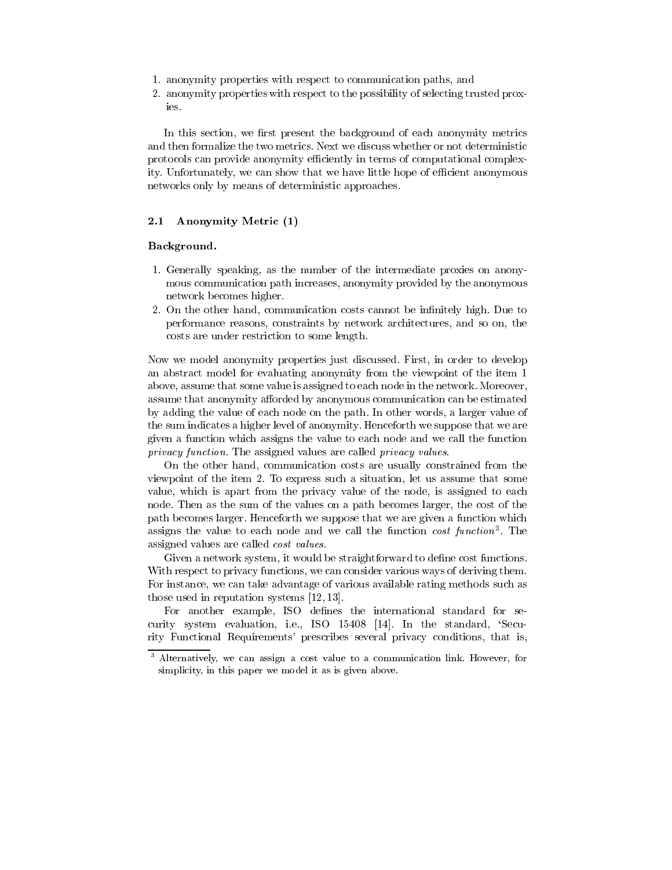- 1. anonymity properties with respect to communication paths, and
- 2. anonymity properties with respect to the possibility of selecting trusted proxies.

In this section, we first present the background of each anonymity metrics and then formalize the two metrics. Next we discuss whether or not deterministic protocols can provide anonymity efficiently in terms of computational complexity. Unfortunately, we can show that we have little hope of efficient anonymous networks only by means of deterministic approaches.

#### $2.1\,$ Anonymity Metric (1)

# Background.

- 1. Generally speaking, as the number of the intermediate proxies on anonymous communication path increases, anonymity provided by the anonymous network becomes higher.
- 2. On the other hand, communication costs cannot be infinitely high. Due to performance reasons, constraints by network architectures, and so on, the costs are under restriction to some length.

Now we model anonymity properties just discussed. First, in order to develop an abstract model for evaluating anonymity from the viewpoint of the item 1 above, assume that some value is assigned to each node in the network. Moreover, assume that anonymity afforded by anonymous communication can be estimated by adding the value of each node on the path. In other words, a larger value of the sum indicates a higher level of anonymity. Henceforth we suppose that we are given a function which assigns the value to each node and we call the function *privacy function*. The assigned values are called *privacy values*.

On the other hand, communication costs are usually constrained from the viewpoint of the item 2. To express such a situation, let us assume that some value, which is apart from the privacy value of the node, is assigned to each node. Then as the sum of the values on a path becomes larger, the cost of the path becomes larger. Henceforth we suppose that we are given a function which assigns the value to each node and we call the function cost function<sup>3</sup>. The assigned values are called *cost values*.

Given a network system, it would be straightforward to define cost functions. With respect to privacy functions, we can consider various ways of deriving them. For instance, we can take advantage of various available rating methods such as those used in reputation systems  $[12, 13]$ .

For another example, ISO defines the international standard for security system evaluation, i.e., ISO 15408 [14]. In the standard, 'Security Functional Requirements' prescribes several privacy conditions, that is,

Alternatively, we can assign a cost value to a communication link. However, for simplicity, in this paper we model it as is given above.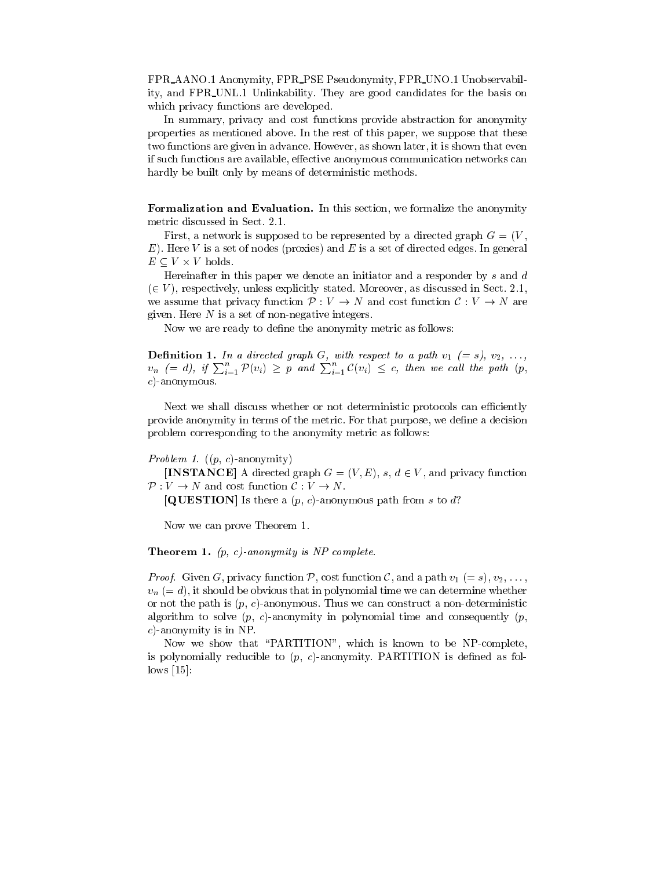FPR\_AANO.1 Anonymity, FPR\_PSE Pseudonymity, FPR\_UNO.1 Unobservability, and FPR\_UNL.1 Unlinkability. They are good candidates for the basis on which privacy functions are developed.

In summary, privacy and cost functions provide abstraction for anonymity properties as mentioned above. In the rest of this paper, we suppose that these two functions are given in advance. However, as shown later, it is shown that even if such functions are available, effective anonymous communication networks can hardly be built only by means of deterministic methods.

**Formalization and Evaluation.** In this section, we formalize the anonymity metric discussed in Sect. 2.1.

First, a network is supposed to be represented by a directed graph  $G = (V, \mathcal{L})$  $E$ ). Here V is a set of nodes (proxies) and E is a set of directed edges. In general  $E \subset V \times V$  holds.

Hereinafter in this paper we denote an initiator and a responder by  $s$  and  $d$  $(\in V)$ , respectively, unless explicitly stated. Moreover, as discussed in Sect. 2.1, we assume that privacy function  $P: V \to N$  and cost function  $C: V \to N$  are given. Here  $N$  is a set of non-negative integers.

Now we are ready to define the anonymity metric as follows:

**Definition 1.** In a directed graph G, with respect to a path  $v_1$  (= s),  $v_2$ , ...,  $v_n$  (= d), if  $\sum_{i=1}^n \mathcal{P}(v_i) \geq p$  and  $\sum_{i=1}^n \mathcal{C}(v_i) \leq c$ , then we call the path (p,  $c)$ -anonymous.

Next we shall discuss whether or not deterministic protocols can efficiently provide anonymity in terms of the metric. For that purpose, we define a decision problem corresponding to the anonymity metric as follows:

# *Problem 1.*  $((p, c)$ -anonymity)

**[INSTANCE]** A directed graph  $G = (V, E)$ , s,  $d \in V$ , and privacy function  $\mathcal{P}: V \to N$  and cost function  $\mathcal{C}: V \to N$ .

[QUESTION] Is there a  $(p, c)$ -anonymous path from s to d?

Now we can prove Theorem 1.

**Theorem 1.** (p, c)-anonymity is NP complete.

*Proof.* Given G, privacy function P, cost function C, and a path  $v_1 (= s)$ ,  $v_2, \ldots$ ,  $v_n (= d)$ , it should be obvious that in polynomial time we can determine whether or not the path is  $(p, c)$ -anonymous. Thus we can construct a non-deterministic algorithm to solve  $(p, c)$ -anonymity in polynomial time and consequently  $(p, c)$  $c$ )-anonymity is in NP.

Now we show that "PARTITION", which is known to be NP-complete, is polynomially reducible to  $(p, c)$ -anonymity. PARTITION is defined as follows  $[15]$ :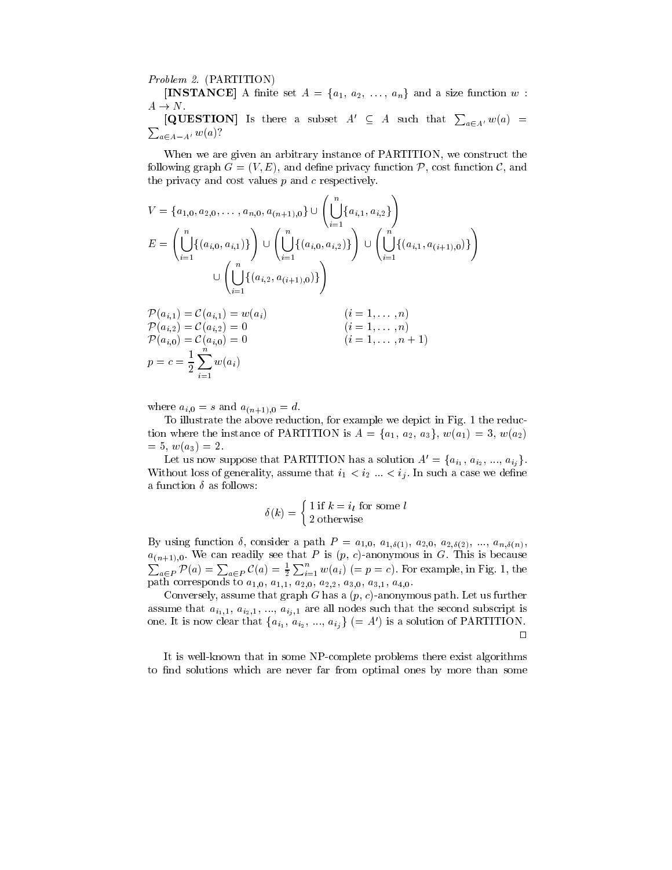*Problem 2.* (PARTITION)

[INSTANCE] A finite set  $A = \{a_1, a_2, ..., a_n\}$  and a size function w:  $A \rightarrow N$ .

[QUESTION] Is there a subset  $A' \subseteq A$  such that  $\sum_{a \in A'} w(a) =$  $\sum_{a \in A-A'} w(a)?$ 

When we are given an arbitrary instance of PARTITION, we construct the following graph  $G = (V, E)$ , and define privacy function  $P$ , cost function  $C$ , and the privacy and cost values  $p$  and  $c$  respectively.

$$
V = \{a_{1,0}, a_{2,0}, \dots, a_{n,0}, a_{(n+1),0}\} \cup \left(\bigcup_{i=1}^{n} \{a_{i,1}, a_{i,2}\}\right)
$$
  

$$
E = \left(\bigcup_{i=1}^{n} \{(a_{i,0}, a_{i,1})\}\right) \cup \left(\bigcup_{i=1}^{n} \{(a_{i,0}, a_{i,2})\}\right) \cup \left(\bigcup_{i=1}^{n} \{(a_{i,1}, a_{(i+1),0})\}\right)
$$
  

$$
\cup \left(\bigcup_{i=1}^{n} \{(a_{i,2}, a_{(i+1),0})\}\right)
$$

$$
\mathcal{P}(a_{i,1}) = \mathcal{C}(a_{i,1}) = w(a_i)
$$
\n
$$
\mathcal{P}(a_{i,2}) = \mathcal{C}(a_{i,2}) = 0
$$
\n
$$
\mathcal{P}(a_{i,0}) = \mathcal{C}(a_{i,0}) = 0
$$
\n
$$
p = c = \frac{1}{2} \sum_{i=1}^{n} w(a_i)
$$
\n
$$
(i = 1, ..., n)
$$
\n
$$
(i = 1, ..., n + 1)
$$

where  $a_{i,0} = s$  and  $a_{(n+1),0} = d$ .

To illustrate the above reduction, for example we depict in Fig. 1 the reduction where the instance of PARTITION is  $A = \{a_1, a_2, a_3\}, w(a_1) = 3, w(a_2)$  $= 5, w(a_3) = 2.$ 

Let us now suppose that PARTITION has a solution  $A' = \{a_{i_1}, a_{i_2}, ..., a_{i_r}\}.$ Without loss of generality, assume that  $i_1 < i_2 ... < i_j$ . In such a case we define a function  $\delta$  as follows:

$$
\delta(k) = \begin{cases} 1 \text{ if } k = i_l \text{ for some } l \\ 2 \text{ otherwise} \end{cases}
$$

By using function  $\delta$ , consider a path  $P = a_{1,0}, a_{1,\delta(1)}, a_{2,0}, a_{2,\delta(2)}, ..., a_{n,\delta(n)}$  $a_{(n+1),0}$ . We can readily see that P is  $(p, c)$ -anonymous in G. This is because  $\sum_{a\in P} \mathcal{P}(a) = \sum_{a\in P} \mathcal{C}(a) = \frac{1}{2} \sum_{i=1}^{n} w(a_i)$  (= p = c). For example, in Fig. 1, the path corresponds to  $a_{1,0}$ ,  $a_{1,1}$ ,  $a_{2,0}$ ,  $a_{2,2}$ ,  $a_{3,0}$ ,  $a_{3,1}$ ,  $a_{4,0}$ .

Conversely, assume that graph  $G$  has a  $(p, c)$ -anonymous path. Let us further assume that  $a_{i_1,1}, a_{i_2,1}, ..., a_{i_j,1}$  are all nodes such that the second subscript is one. It is now clear that  $\{a_{i_1}, a_{i_2}, ..., a_{i_j}\}$  (= A') is a solution of PARTITION.  $\Box$ 

It is well-known that in some NP-complete problems there exist algorithms to find solutions which are never far from optimal ones by more than some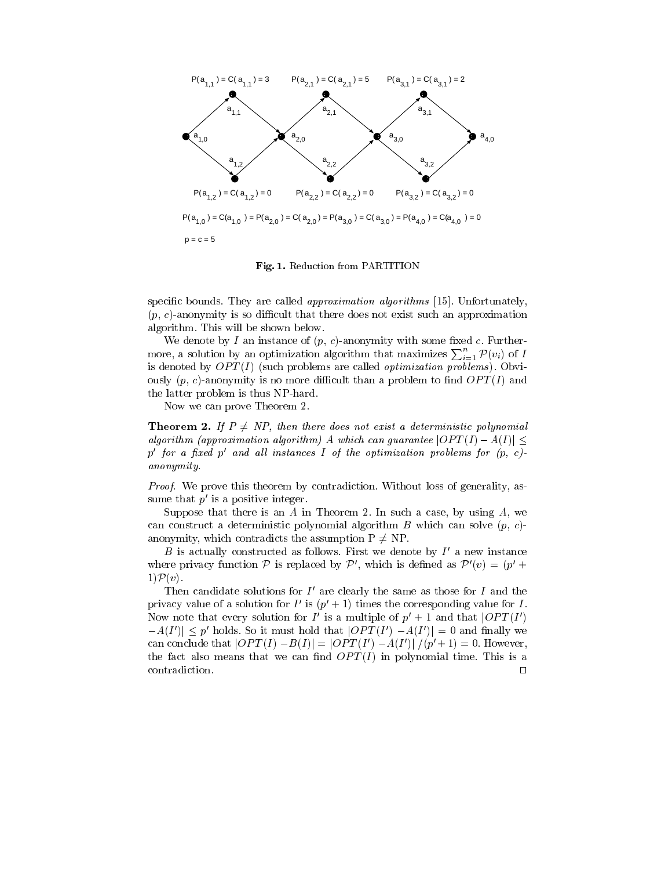

Fig. 1. Reduction from PARTITION

specific bounds. They are called *approximation algorithms* [15]. Unfortunately,  $(p, c)$ -anonymity is so difficult that there does not exist such an approximation algorithm. This will be shown below.

We denote by I an instance of  $(p, c)$ -anonymity with some fixed c. Furthermore, a solution by an optimization algorithm that maximizes  $\sum_{i=1}^{n} \mathcal{P}(v_i)$  of I is denoted by  $OPT(I)$  (such problems are called *optimization problems*). Obviously  $(p, c)$ -anonymity is no more difficult than a problem to find  $OPT(I)$  and the latter problem is thus NP-hard.

Now we can prove Theorem 2.

**Theorem 2.** If  $P \neq NP$ , then there does not exist a deterministic polynomial algorithm (approximation algorithm) A which can guarantee  $|OPT(I) - A(I)| \le$  $p'$  for a fixed  $p'$  and all instances I of the optimization problems for  $(p, c)$  $anonymity$ .

*Proof.* We prove this theorem by contradiction. Without loss of generality, assume that  $p'$  is a positive integer.

Suppose that there is an  $A$  in Theorem 2. In such a case, by using  $A$ , we can construct a deterministic polynomial algorithm  $B$  which can solve  $(p, c)$ anonymity, which contradicts the assumption  $P \neq NP$ .

B is actually constructed as follows. First we denote by  $I'$  a new instance where privacy function  $P$  is replaced by  $P'$ , which is defined as  $P'(v) = (p' + p')$  $1)\mathcal{P}(v)$ .

Then candidate solutions for  $I'$  are clearly the same as those for  $I$  and the privacy value of a solution for  $I'$  is  $(p' + 1)$  times the corresponding value for  $I$ . Now note that every solution for I' is a multiple of  $p' + 1$  and that  $[OPT(I')$  $-A(I')\leq p'$  holds. So it must hold that  $|OPT(I') - A(I')| = 0$  and finally we can conclude that  $|OPT(I) - B(I)| = |OPT(I') - A(I')| / (p' + 1) = 0$ . However, the fact also means that we can find  $OPT(I)$  in polynomial time. This is a contradiction.  $\Box$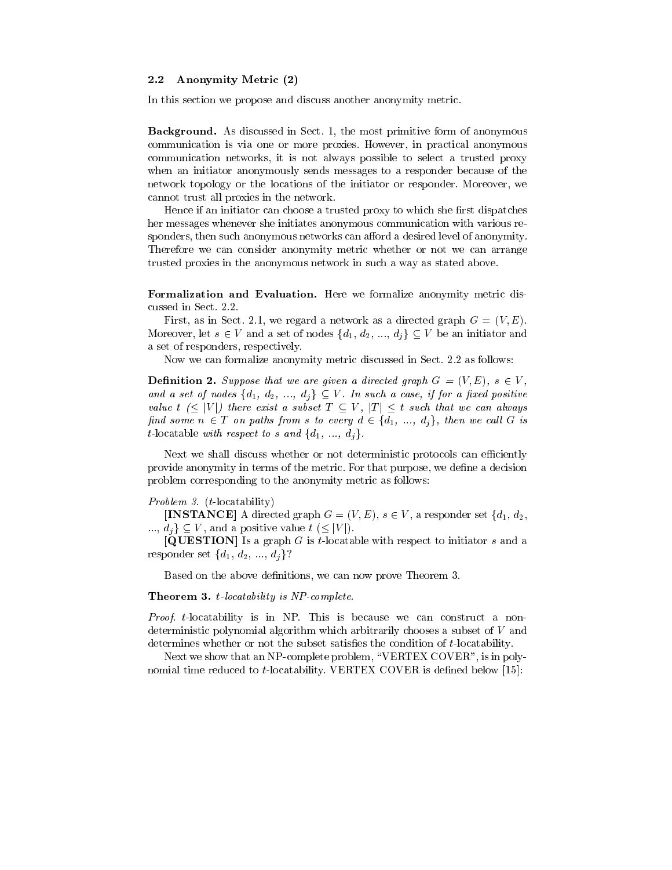#### Anonymity Metric (2)  $2.2\,$

In this section we propose and discuss another anonymity metric.

Background. As discussed in Sect. 1, the most primitive form of anonymous communication is via one or more proxies. However, in practical anonymous communication networks, it is not always possible to select a trusted proxy when an initiator anonymously sends messages to a responder because of the network topology or the locations of the initiator or responder. Moreover, we cannot trust all proxies in the network.

Hence if an initiator can choose a trusted proxy to which she first dispatches her messages whenever she initiates anonymous communication with various responders, then such anonymous networks can afford a desired level of anonymity. Therefore we can consider anonymity metric whether or not we can arrange trusted proxies in the anonymous network in such a way as stated above.

Formalization and Evaluation. Here we formalize anonymity metric discussed in Sect. 2.2.

First, as in Sect. 2.1, we regard a network as a directed graph  $G = (V, E)$ . Moreover, let  $s \in V$  and a set of nodes  $\{d_1, d_2, ..., d_i\} \subseteq V$  be an initiator and a set of responders, respectively.

Now we can formalize anonymity metric discussed in Sect. 2.2 as follows:

**Definition 2.** Suppose that we are given a directed graph  $G = (V, E)$ ,  $s \in V$ , and a set of nodes  $\{d_1, d_2, ..., d_j\} \subseteq V$ . In such a case, if for a fixed positive value  $t \leq |V|$  there exist a subset  $T \subseteq V$ ,  $|T| \leq t$  such that we can always find some  $n \in T$  on paths from s to every  $d \in \{d_1, ..., d_j\}$ , then we call G is *t*-locatable with respect to s and  $\{d_1, ..., d_j\}$ .

Next we shall discuss whether or not deterministic protocols can efficiently provide anonymity in terms of the metric. For that purpose, we define a decision problem corresponding to the anonymity metric as follows:

## *Problem 3.*  $(t$ -locatability)

[INSTANCE] A directed graph  $G = (V, E)$ ,  $s \in V$ , a responder set  $\{d_1, d_2, d_3\}$  $..., d_i$   $\subseteq V$ , and a positive value  $t \leq |V|$ .

 $[QUESTION]$  Is a graph G is t-locatable with respect to initiator s and a responder set  $\{d_1, d_2, ..., d_j\}$ ?

Based on the above definitions, we can now prove Theorem 3.

## **Theorem 3.** *t*-locatability is NP-complete.

*Proof.* t-locatability is in NP. This is because we can construct a nondeterministic polynomial algorithm which arbitrarily chooses a subset of  $V$  and determines whether or not the subset satisfies the condition of t-locatability.

Next we show that an NP-complete problem, "VERTEX COVER", is in polynomial time reduced to  $t$ -locatability. VERTEX COVER is defined below [15]: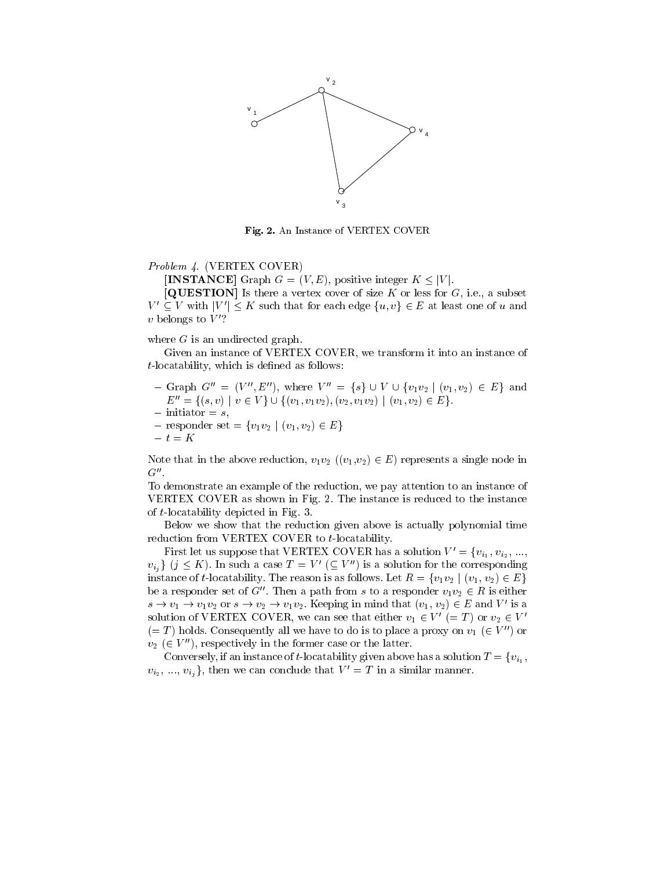

Fig. 2. An Instance of VERTEX COVER

# Problem 4. (VERTEX COVER)

[INSTANCE] Graph  $G = (V, E)$ , positive integer  $K \leq |V|$ .

 $[QUESTION]$  Is there a vertex cover of size K or less for G, i.e., a subset  $V' \subseteq V$  with  $|V'| \leq K$  such that for each edge  $\{u, v\} \in E$  at least one of u and  $v$  belongs to  $V$ ?

where  $G$  is an undirected graph.

Given an instance of VERTEX COVER, we transform it into an instance of *t*-locatability, which is defined as follows:

- Graph  $G'' = (V'', E'')$ , where  $V'' = \{s\} \cup V \cup \{v_1v_2 \mid (v_1, v_2) \in E\}$  and  $E'' = \{(s, v) \mid v \in V\} \cup \{(v_1, v_1v_2), (v_2, v_1v_2) \mid (v_1, v_2) \in E\}.$  $-$  initiator =  $s$ ,
- responder set =  $\{v_1v_2 | (v_1, v_2) \in E\}$

$$
-t = K
$$

Note that in the above reduction,  $v_1v_2$   $((v_1,v_2) \in E)$  represents a single node in  $G^{\prime\prime}$ .

To demonstrate an example of the reduction, we pay attention to an instance of VERTEX COVER as shown in Fig. 2. The instance is reduced to the instance of *t*-locatability depicted in Fig. 3.

Below we show that the reduction given above is actually polynomial time reduction from VERTEX COVER to t-locatability.

First let us suppose that VERTEX COVER has a solution  $V' = \{v_{i_1}, v_{i_2}, ...,$  $v_{i,j}$   $(j \leq K)$ . In such a case  $T = V'$  ( $\subseteq V''$ ) is a solution for the corresponding instance of *t*-locatability. The reason is as follows. Let  $R = \{v_1v_2 \mid (v_1, v_2) \in E\}$ be a responder set of  $G''$ . Then a path from s to a responder  $v_1v_2 \in R$  is either  $s \to v_1 \to v_1v_2$  or  $s \to v_2 \to v_1v_2$ . Keeping in mind that  $(v_1, v_2) \in E$  and V' is a solution of VERTEX COVER, we can see that either  $v_1 \in V'$  (= T) or  $v_2 \in V'$  $(=T)$  holds. Consequently all we have to do is to place a proxy on  $v_1$  ( $\in V''$ ) or  $v_2 \in V''$ , respectively in the former case or the latter.

Conversely, if an instance of *t*-locatability given above has a solution  $T = \{v_{i_1},$  $v_{i_2}, ..., v_{i_j}$ , then we can conclude that  $V' = T$  in a similar manner.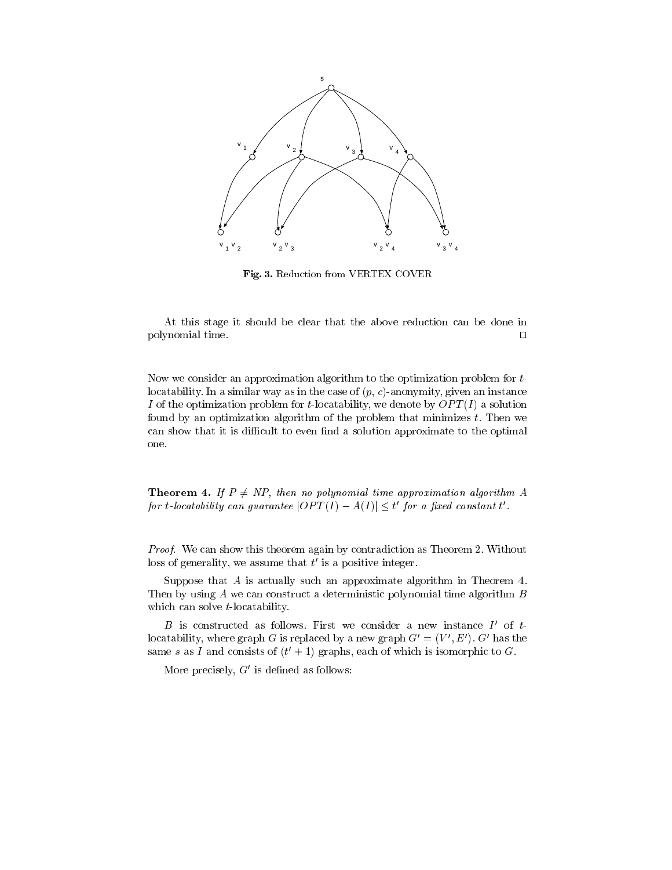

Fig. 3. Reduction from VERTEX COVER

At this stage it should be clear that the above reduction can be done in polynomial time.  $\Box$ 

Now we consider an approximation algorithm to the optimization problem for tlocatability. In a similar way as in the case of  $(p, c)$ -anonymity, given an instance I of the optimization problem for t-locatability, we denote by  $OPT(I)$  a solution found by an optimization algorithm of the problem that minimizes  $t$ . Then we can show that it is difficult to even find a solution approximate to the optimal one.

**Theorem 4.** If  $P \neq NP$ , then no polynomial time approximation algorithm A for t-locatability can guarantee  $|OPT(I) - A(I)| \leq t'$  for a fixed constant t'.

*Proof.* We can show this theorem again by contradiction as Theorem 2. Without loss of generality, we assume that  $t'$  is a positive integer.

Suppose that  $A$  is actually such an approximate algorithm in Theorem 4. Then by using A we can construct a deterministic polynomial time algorithm  $B$ which can solve *t*-locatability.

 $B$  is constructed as follows. First we consider a new instance  $I'$  of  $t$ locatability, where graph G is replaced by a new graph  $G' = (V', E')$ . G' has the same s as I and consists of  $(t' + 1)$  graphs, each of which is isomorphic to G.

More precisely,  $G'$  is defined as follows: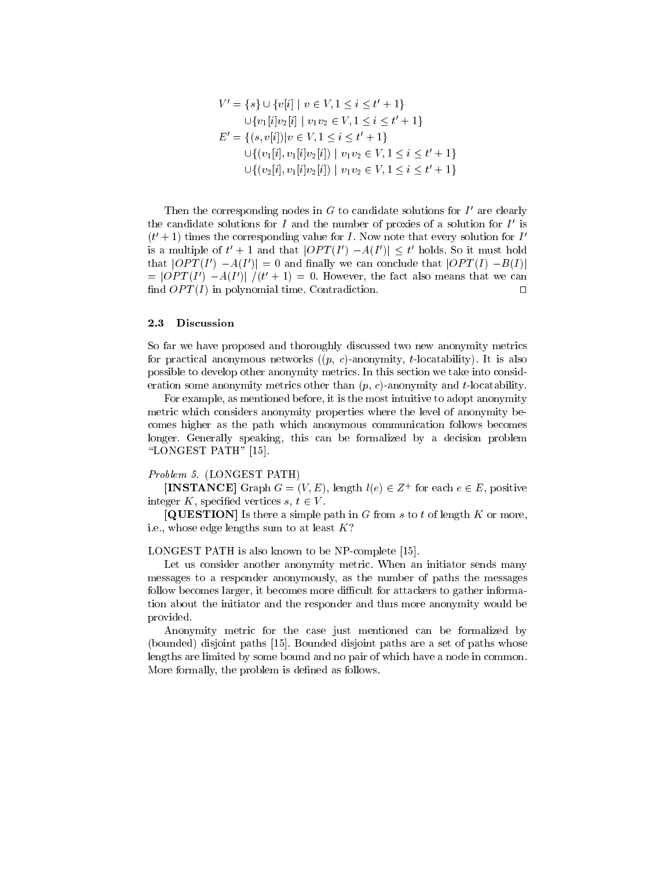$$
V' = \{s\} \cup \{v[i] \mid v \in V, 1 \le i \le t' + 1\}
$$
  
\n
$$
\cup \{v_1[i]v_2[i] \mid v_1v_2 \in V, 1 \le i \le t' + 1\}
$$
  
\n
$$
E' = \{(s, v[i]) | v \in V, 1 \le i \le t' + 1\}
$$
  
\n
$$
\cup \{(v_1[i], v_1[i]v_2[i]) \mid v_1v_2 \in V, 1 \le i \le t' + 1\}
$$
  
\n
$$
\cup \{(v_2[i], v_1[i]v_2[i]) \mid v_1v_2 \in V, 1 \le i \le t' + 1\}
$$

Then the corresponding nodes in  $G$  to candidate solutions for  $I'$  are clearly the candidate solutions for  $I$  and the number of proxies of a solution for  $I'$  is  $(t'+1)$  times the corresponding value for I. Now note that every solution for I' is a multiple of  $t' + 1$  and that  $|OPT(I') - A(I')| \leq t'$  holds. So it must hold that  $|OPT(I') - A(I')| = 0$  and finally we can conclude that  $|OPT(I) - B(I)|$  $= |OPT(I') - A(I')| / (t' + 1) = 0$ . However, the fact also means that we can find  $OPT(I)$  in polynomial time. Contradiction.  $\Box$ 

#### 2.3 Discussion

So far we have proposed and thoroughly discussed two new anonymity metrics for practical anonymous networks  $((p, c)$ -anonymity, t-locatability). It is also possible to develop other anonymity metrics. In this section we take into consideration some anonymity metrics other than  $(p, c)$ -anonymity and t-locatability.

For example, as mentioned before, it is the most intuitive to adopt anonymity metric which considers anonymity properties where the level of anonymity becomes higher as the path which anonymous communication follows becomes longer. Generally speaking, this can be formalized by a decision problem "LONGEST PATH" [15].

# *Problem 5.* (LONGEST PATH)

[INSTANCE] Graph  $G = (V, E)$ , length  $l(e) \in Z^+$  for each  $e \in E$ , positive integer K, specified vertices  $s, t \in V$ .

[QUESTION] Is there a simple path in G from s to t of length K or more, i.e., whose edge lengths sum to at least  $K$ ?

# LONGEST PATH is also known to be NP-complete [15].

Let us consider another anonymity metric. When an initiator sends many messages to a responder anonymously, as the number of paths the messages follow becomes larger, it becomes more difficult for attackers to gather information about the initiator and the responder and thus more anonymity would be provided.

Anonymity metric for the case just mentioned can be formalized by (bounded) disjoint paths [15]. Bounded disjoint paths are a set of paths whose lengths are limited by some bound and no pair of which have a node in common. More formally, the problem is defined as follows.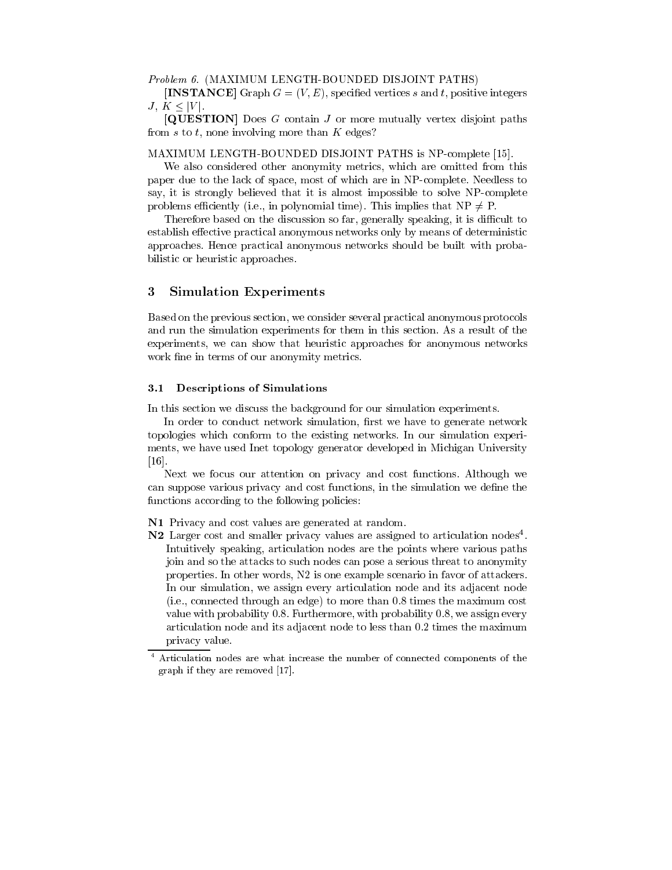# Problem 6. (MAXIMUM LENGTH-BOUNDED DISJOINT PATHS)

**[INSTANCE**] Graph  $G = (V, E)$ , specified vertices s and t, positive integers  $J, K \leq |V|$ .

 $[QUESTION]$  Does G contain J or more mutually vertex disjoint paths from  $s$  to  $t$ , none involving more than  $K$  edges?

## MAXIMUM LENGTH-BOUNDED DISJOINT PATHS is NP-complete [15].

We also considered other anonymity metrics, which are omitted from this paper due to the lack of space, most of which are in NP-complete. Needless to say, it is strongly believed that it is almost impossible to solve NP-complete problems efficiently (i.e., in polynomial time). This implies that  $NP \neq P$ .

Therefore based on the discussion so far, generally speaking, it is difficult to establish effective practical anonymous networks only by means of deterministic approaches. Hence practical anonymous networks should be built with probabilistic or heuristic approaches.

#### 3 **Simulation Experiments**

Based on the previous section, we consider several practical anonymous protocols and run the simulation experiments for them in this section. As a result of the experiments, we can show that heuristic approaches for anonymous networks work fine in terms of our anonymity metrics.

#### Descriptions of Simulations  $\bf 3.1$

In this section we discuss the background for our simulation experiments.

In order to conduct network simulation, first we have to generate network topologies which conform to the existing networks. In our simulation experiments, we have used Inet topology generator developed in Michigan University  $\left[16\right]$ .

Next we focus our attention on privacy and cost functions. Although we can suppose various privacy and cost functions, in the simulation we define the functions according to the following policies:

- N1 Privacy and cost values are generated at random.
- N2 Larger cost and smaller privacy values are assigned to articulation nodes<sup>4</sup>. Intuitively speaking, articulation nodes are the points where various paths join and so the attacks to such nodes can pose a serious threat to anonymity properties. In other words, N2 is one example scenario in favor of attackers. In our simulation, we assign every articulation node and its adjacent node (i.e., connected through an edge) to more than 0.8 times the maximum cost value with probability 0.8. Furthermore, with probability 0.8, we assign every articulation node and its adjacent node to less than 0.2 times the maximum privacy value.

Articulation nodes are what increase the number of connected components of the graph if they are removed [17].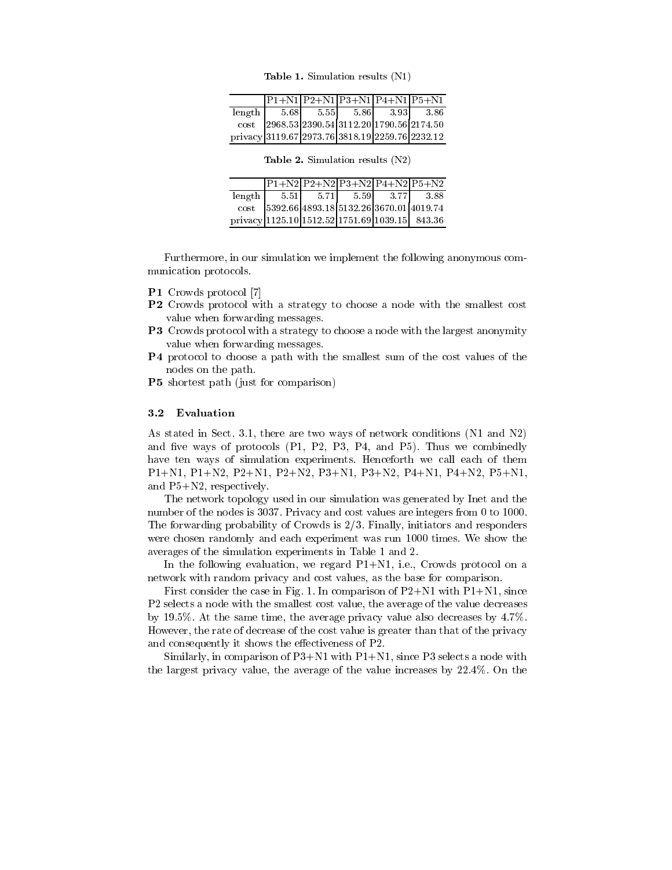Table 1. Simulation results (N1)

|      |  |  | $P1+N1 P2+N1 P3+N1 P4+N1 P5+N1$                 |  |                                                                                                  |
|------|--|--|-------------------------------------------------|--|--------------------------------------------------------------------------------------------------|
|      |  |  |                                                 |  | $length \begin{array}{ c c c c c c } \hline 5.68 & 5.55 & 5.86 & 3.93 & 3.86 \hline \end{array}$ |
| cost |  |  |                                                 |  | 2968.53 2390.54 3112.20 1790.56 2174.50                                                          |
|      |  |  | privacy 3119.67 2973.76 3818.19 2259.76 2232.12 |  |                                                                                                  |

|  | $P1+N2$ $P2+N2$ $P3+N2$ $P4+N2$ $P5+N2$  |  |                                                                                                |
|--|------------------------------------------|--|------------------------------------------------------------------------------------------------|
|  | $\text{length}$ 5.51 5.71 5.59 3.77 3.88 |  |                                                                                                |
|  |                                          |  | cost 5392.66 4893.18 5132.26 3670.01 4019.74<br>privacy 1125.10 1512.52 1751.69 1039.15 843.36 |
|  |                                          |  |                                                                                                |

**Table 2.** Simulation results  $(N2)$ 

Furthermore, in our simulation we implement the following anonymous communication protocols.

- P1 Crowds protocol [7]
- P2 Crowds protocol with a strategy to choose a node with the smallest cost value when forwarding messages.
- P3 Crowds protocol with a strategy to choose a node with the largest anonymity value when forwarding messages.
- P4 protocol to choose a path with the smallest sum of the cost values of the nodes on the path.
- **P5** shortest path (just for comparison)

#### Evaluation  $3.2$

As stated in Sect. 3.1, there are two ways of network conditions (N1 and N2) and five ways of protocols (P1, P2, P3, P4, and P5). Thus we combinedly have ten ways of simulation experiments. Henceforth we call each of them  $P1+N1, P1+N2, P2+N1, P2+N2, P3+N1, P3+N2, P4+N1, P4+N2, P5+N1,$ and  $P5+N2$ , respectively.

The network topology used in our simulation was generated by Inet and the number of the nodes is 3037. Privacy and cost values are integers from 0 to 1000. The forwarding probability of Crowds is  $2/3$ . Finally, initiators and responders were chosen randomly and each experiment was run 1000 times. We show the averages of the simulation experiments in Table 1 and 2.

In the following evaluation, we regard  $P1+N1$ , i.e., Crowds protocol on a network with random privacy and cost values, as the base for comparison.

First consider the case in Fig. 1. In comparison of  $P2+N1$  with  $P1+N1$ , since P2 selects a node with the smallest cost value, the average of the value decreases by 19.5%. At the same time, the average privacy value also decreases by  $4.7\%$ . However, the rate of decrease of the cost value is greater than that of the privacy and consequently it shows the effectiveness of P2.

Similarly, in comparison of  $P3+N1$  with  $P1+N1$ , since P3 selects a node with the largest privacy value, the average of the value increases by  $22.4\%$ . On the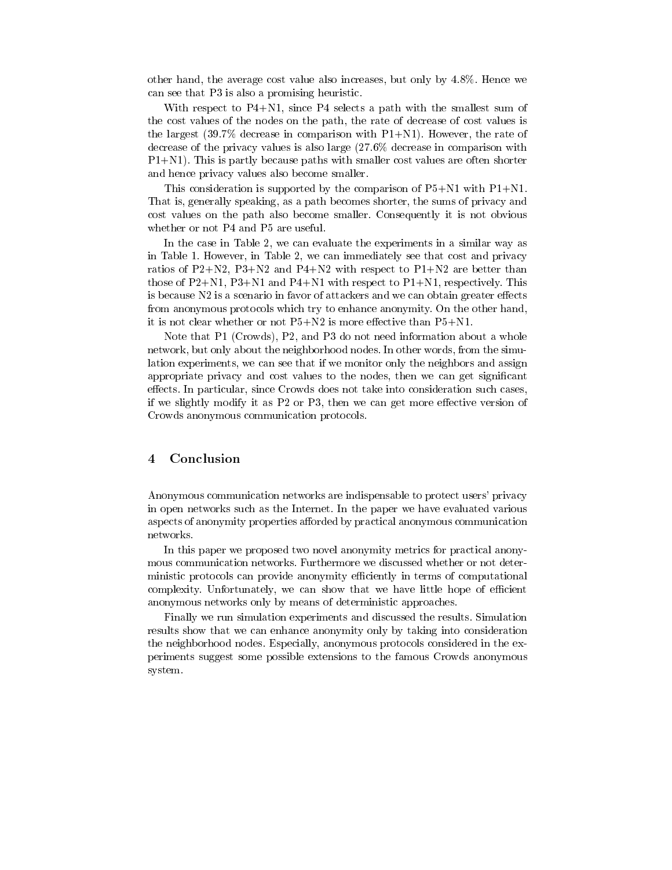other hand, the average cost value also increases, but only by 4.8%. Hence we can see that P3 is also a promising heuristic.

With respect to  $P4+N1$ , since P4 selects a path with the smallest sum of the cost values of the nodes on the path, the rate of decrease of cost values is the largest  $(39.7\%$  decrease in comparison with P1+N1). However, the rate of decrease of the privacy values is also large  $(27.6\%$  decrease in comparison with  $P1+N1$ ). This is partly because paths with smaller cost values are often shorter and hence privacy values also become smaller.

This consideration is supported by the comparison of  $P5+N1$  with  $P1+N1$ . That is, generally speaking, as a path becomes shorter, the sums of privacy and cost values on the path also become smaller. Consequently it is not obvious whether or not P4 and P5 are useful.

In the case in Table 2, we can evaluate the experiments in a similar way as in Table 1. However, in Table 2, we can immediately see that cost and privacy ratios of P2+N2, P3+N2 and P4+N2 with respect to P1+N2 are better than those of  $P2+N1$ ,  $P3+N1$  and  $P4+N1$  with respect to  $P1+N1$ , respectively. This is because N2 is a scenario in favor of attackers and we can obtain greater effects from anonymous protocols which try to enhance anonymity. On the other hand, it is not clear whether or not  $P5+N2$  is more effective than  $P5+N1$ .

Note that P1 (Crowds), P2, and P3 do not need information about a whole network, but only about the neighborhood nodes. In other words, from the simulation experiments, we can see that if we monitor only the neighbors and assign appropriate privacy and cost values to the nodes, then we can get significant effects. In particular, since Crowds does not take into consideration such cases, if we slightly modify it as P2 or P3, then we can get more effective version of Crowds anonymous communication protocols.

#### $\overline{4}$ Conclusion

Anonymous communication networks are indispensable to protect users' privacy in open networks such as the Internet. In the paper we have evaluated various aspects of anonymity properties afforded by practical anonymous communication networks.

In this paper we proposed two novel anonymity metrics for practical anonymous communication networks. Furthermore we discussed whether or not deterministic protocols can provide anonymity efficiently in terms of computational complexity. Unfortunately, we can show that we have little hope of efficient anonymous networks only by means of deterministic approaches.

Finally we run simulation experiments and discussed the results. Simulation results show that we can enhance anonymity only by taking into consideration the neighborhood nodes. Especially, anonymous protocols considered in the experiments suggest some possible extensions to the famous Crowds anonymous system.